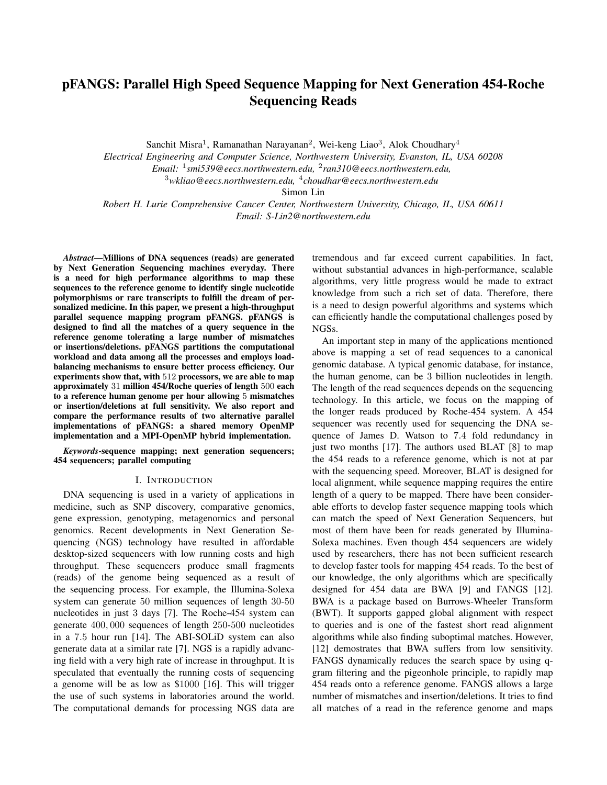# pFANGS: Parallel High Speed Sequence Mapping for Next Generation 454-Roche Sequencing Reads

Sanchit Misra<sup>1</sup>, Ramanathan Narayanan<sup>2</sup>, Wei-keng Liao<sup>3</sup>, Alok Choudhary<sup>4</sup>

*Electrical Engineering and Computer Science, Northwestern University, Evanston, IL, USA 60208*

*Email:* <sup>1</sup> *smi539@eecs.northwestern.edu,* <sup>2</sup> *ran310@eecs.northwestern.edu,*

<sup>3</sup>*wkliao@eecs.northwestern.edu,* <sup>4</sup> *choudhar@eecs.northwestern.edu*

Simon Lin

*Robert H. Lurie Comprehensive Cancer Center, Northwestern University, Chicago, IL, USA 60611 Email: S-Lin2@northwestern.edu*

*Abstract*—Millions of DNA sequences (reads) are generated by Next Generation Sequencing machines everyday. There is a need for high performance algorithms to map these sequences to the reference genome to identify single nucleotide polymorphisms or rare transcripts to fulfill the dream of personalized medicine. In this paper, we present a high-throughput parallel sequence mapping program pFANGS. pFANGS is designed to find all the matches of a query sequence in the reference genome tolerating a large number of mismatches or insertions/deletions. pFANGS partitions the computational workload and data among all the processes and employs loadbalancing mechanisms to ensure better process efficiency. Our experiments show that, with 512 processors, we are able to map approximately 31 million 454/Roche queries of length 500 each to a reference human genome per hour allowing 5 mismatches or insertion/deletions at full sensitivity. We also report and compare the performance results of two alternative parallel implementations of pFANGS: a shared memory OpenMP implementation and a MPI-OpenMP hybrid implementation.

*Keywords*-sequence mapping; next generation sequencers; 454 sequencers; parallel computing

#### I. INTRODUCTION

DNA sequencing is used in a variety of applications in medicine, such as SNP discovery, comparative genomics, gene expression, genotyping, metagenomics and personal genomics. Recent developments in Next Generation Sequencing (NGS) technology have resulted in affordable desktop-sized sequencers with low running costs and high throughput. These sequencers produce small fragments (reads) of the genome being sequenced as a result of the sequencing process. For example, the Illumina-Solexa system can generate 50 million sequences of length 30-50 nucleotides in just 3 days [7]. The Roche-454 system can generate 400, 000 sequences of length 250-500 nucleotides in a 7.5 hour run [14]. The ABI-SOLiD system can also generate data at a similar rate [7]. NGS is a rapidly advancing field with a very high rate of increase in throughput. It is speculated that eventually the running costs of sequencing a genome will be as low as \$1000 [16]. This will trigger the use of such systems in laboratories around the world. The computational demands for processing NGS data are tremendous and far exceed current capabilities. In fact, without substantial advances in high-performance, scalable algorithms, very little progress would be made to extract knowledge from such a rich set of data. Therefore, there is a need to design powerful algorithms and systems which can efficiently handle the computational challenges posed by NGSs.

An important step in many of the applications mentioned above is mapping a set of read sequences to a canonical genomic database. A typical genomic database, for instance, the human genome, can be 3 billion nucleotides in length. The length of the read sequences depends on the sequencing technology. In this article, we focus on the mapping of the longer reads produced by Roche-454 system. A 454 sequencer was recently used for sequencing the DNA sequence of James D. Watson to 7.4 fold redundancy in just two months [17]. The authors used BLAT [8] to map the 454 reads to a reference genome, which is not at par with the sequencing speed. Moreover, BLAT is designed for local alignment, while sequence mapping requires the entire length of a query to be mapped. There have been considerable efforts to develop faster sequence mapping tools which can match the speed of Next Generation Sequencers, but most of them have been for reads generated by Illumina-Solexa machines. Even though 454 sequencers are widely used by researchers, there has not been sufficient research to develop faster tools for mapping 454 reads. To the best of our knowledge, the only algorithms which are specifically designed for 454 data are BWA [9] and FANGS [12]. BWA is a package based on Burrows-Wheeler Transform (BWT). It supports gapped global alignment with respect to queries and is one of the fastest short read alignment algorithms while also finding suboptimal matches. However, [12] demostrates that BWA suffers from low sensitivity. FANGS dynamically reduces the search space by using qgram filtering and the pigeonhole principle, to rapidly map 454 reads onto a reference genome. FANGS allows a large number of mismatches and insertion/deletions. It tries to find all matches of a read in the reference genome and maps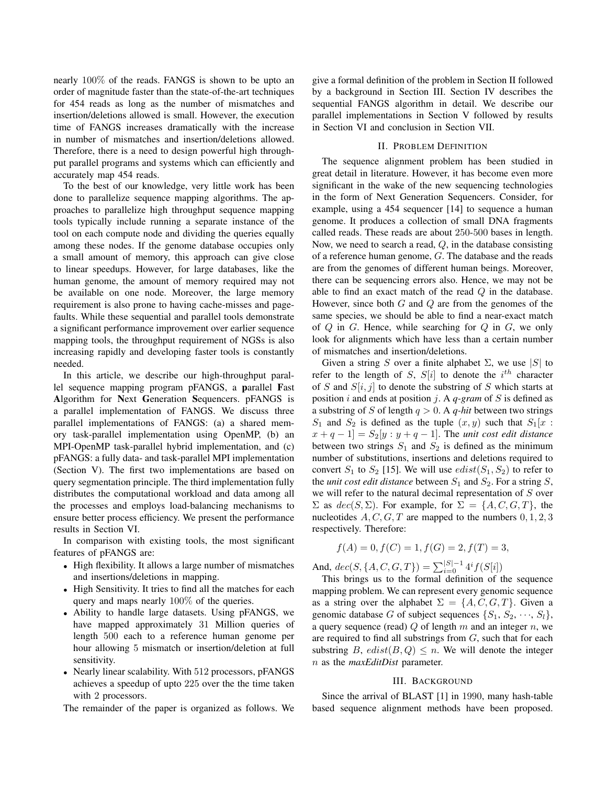nearly 100% of the reads. FANGS is shown to be upto an order of magnitude faster than the state-of-the-art techniques for 454 reads as long as the number of mismatches and insertion/deletions allowed is small. However, the execution time of FANGS increases dramatically with the increase in number of mismatches and insertion/deletions allowed. Therefore, there is a need to design powerful high throughput parallel programs and systems which can efficiently and accurately map 454 reads.

To the best of our knowledge, very little work has been done to parallelize sequence mapping algorithms. The approaches to parallelize high throughput sequence mapping tools typically include running a separate instance of the tool on each compute node and dividing the queries equally among these nodes. If the genome database occupies only a small amount of memory, this approach can give close to linear speedups. However, for large databases, like the human genome, the amount of memory required may not be available on one node. Moreover, the large memory requirement is also prone to having cache-misses and pagefaults. While these sequential and parallel tools demonstrate a significant performance improvement over earlier sequence mapping tools, the throughput requirement of NGSs is also increasing rapidly and developing faster tools is constantly needed.

In this article, we describe our high-throughput parallel sequence mapping program pFANGS, a parallel Fast Algorithm for Next Generation Sequencers. pFANGS is a parallel implementation of FANGS. We discuss three parallel implementations of FANGS: (a) a shared memory task-parallel implementation using OpenMP, (b) an MPI-OpenMP task-parallel hybrid implementation, and (c) pFANGS: a fully data- and task-parallel MPI implementation (Section V). The first two implementations are based on query segmentation principle. The third implementation fully distributes the computational workload and data among all the processes and employs load-balancing mechanisms to ensure better process efficiency. We present the performance results in Section VI.

In comparison with existing tools, the most significant features of pFANGS are:

- High flexibility. It allows a large number of mismatches and insertions/deletions in mapping.
- High Sensitivity. It tries to find all the matches for each query and maps nearly 100% of the queries.
- Ability to handle large datasets. Using pFANGS, we have mapped approximately 31 Million queries of length 500 each to a reference human genome per hour allowing 5 mismatch or insertion/deletion at full sensitivity.
- Nearly linear scalability. With 512 processors, pFANGS achieves a speedup of upto 225 over the the time taken with 2 processors.

The remainder of the paper is organized as follows. We

give a formal definition of the problem in Section II followed by a background in Section III. Section IV describes the sequential FANGS algorithm in detail. We describe our parallel implementations in Section V followed by results in Section VI and conclusion in Section VII.

#### II. PROBLEM DEFINITION

The sequence alignment problem has been studied in great detail in literature. However, it has become even more significant in the wake of the new sequencing technologies in the form of Next Generation Sequencers. Consider, for example, using a 454 sequencer [14] to sequence a human genome. It produces a collection of small DNA fragments called reads. These reads are about 250-500 bases in length. Now, we need to search a read,  $Q$ , in the database consisting of a reference human genome, G. The database and the reads are from the genomes of different human beings. Moreover, there can be sequencing errors also. Hence, we may not be able to find an exact match of the read Q in the database. However, since both  $G$  and  $Q$  are from the genomes of the same species, we should be able to find a near-exact match of  $Q$  in  $G$ . Hence, while searching for  $Q$  in  $G$ , we only look for alignments which have less than a certain number of mismatches and insertion/deletions.

Given a string S over a finite alphabet  $\Sigma$ , we use  $|S|$  to refer to the length of S,  $S[i]$  to denote the  $i^{th}$  character of S and  $S[i, j]$  to denote the substring of S which starts at position i and ends at position j. A *q-gram* of S is defined as a substring of S of length  $q > 0$ . A *q-hit* between two strings  $S_1$  and  $S_2$  is defined as the tuple  $(x, y)$  such that  $S_1[x]$ :  $x + q - 1$  =  $S_2[y : y + q - 1]$ . The *unit cost edit distance* between two strings  $S_1$  and  $S_2$  is defined as the minimum number of substitutions, insertions and deletions required to convert  $S_1$  to  $S_2$  [15]. We will use  $edist(S_1, S_2)$  to refer to the *unit cost edit distance* between  $S_1$  and  $S_2$ . For a string  $S$ , we will refer to the natural decimal representation of S over  $\Sigma$  as  $dec(S, \Sigma)$ . For example, for  $\Sigma = \{A, C, G, T\}$ , the nucleotides  $A, C, G, T$  are mapped to the numbers  $0, 1, 2, 3$ respectively. Therefore:

$$
f(A) = 0, f(C) = 1, f(G) = 2, f(T) = 3,
$$

And,  $dec(S, \{A, C, G, T\}) = \sum_{i=0}^{|S|-1} 4^i f(S[i])$ 

This brings us to the formal definition of the sequence mapping problem. We can represent every genomic sequence as a string over the alphabet  $\Sigma = \{A, C, G, T\}$ . Given a genomic database G of subject sequences  $\{S_1, S_2, \dots, S_l\},\$ a query sequence (read)  $Q$  of length  $m$  and an integer  $n$ , we are required to find all substrings from  $G$ , such that for each substring B,  $edist(B, Q) \leq n$ . We will denote the integer n as the *maxEditDist* parameter.

# III. BACKGROUND

Since the arrival of BLAST [1] in 1990, many hash-table based sequence alignment methods have been proposed.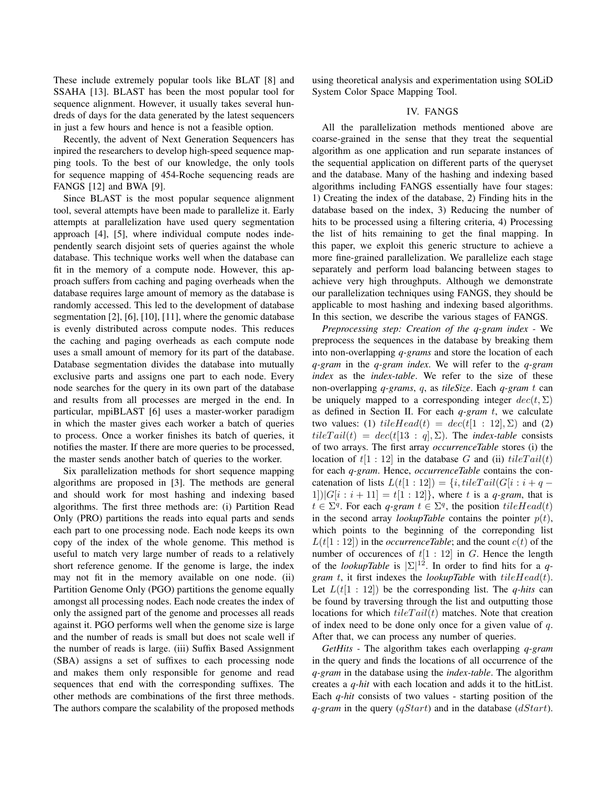These include extremely popular tools like BLAT [8] and SSAHA [13]. BLAST has been the most popular tool for sequence alignment. However, it usually takes several hundreds of days for the data generated by the latest sequencers in just a few hours and hence is not a feasible option.

Recently, the advent of Next Generation Sequencers has inpired the researchers to develop high-speed sequence mapping tools. To the best of our knowledge, the only tools for sequence mapping of 454-Roche sequencing reads are FANGS [12] and BWA [9].

Since BLAST is the most popular sequence alignment tool, several attempts have been made to parallelize it. Early attempts at parallelization have used query segmentation approach [4], [5], where individual compute nodes independently search disjoint sets of queries against the whole database. This technique works well when the database can fit in the memory of a compute node. However, this approach suffers from caching and paging overheads when the database requires large amount of memory as the database is randomly accessed. This led to the development of database segmentation [2], [6], [10], [11], where the genomic database is evenly distributed across compute nodes. This reduces the caching and paging overheads as each compute node uses a small amount of memory for its part of the database. Database segmentation divides the database into mutually exclusive parts and assigns one part to each node. Every node searches for the query in its own part of the database and results from all processes are merged in the end. In particular, mpiBLAST [6] uses a master-worker paradigm in which the master gives each worker a batch of queries to process. Once a worker finishes its batch of queries, it notifies the master. If there are more queries to be processed, the master sends another batch of queries to the worker.

Six parallelization methods for short sequence mapping algorithms are proposed in [3]. The methods are general and should work for most hashing and indexing based algorithms. The first three methods are: (i) Partition Read Only (PRO) partitions the reads into equal parts and sends each part to one processing node. Each node keeps its own copy of the index of the whole genome. This method is useful to match very large number of reads to a relatively short reference genome. If the genome is large, the index may not fit in the memory available on one node. (ii) Partition Genome Only (PGO) partitions the genome equally amongst all processing nodes. Each node creates the index of only the assigned part of the genome and processes all reads against it. PGO performs well when the genome size is large and the number of reads is small but does not scale well if the number of reads is large. (iii) Suffix Based Assignment (SBA) assigns a set of suffixes to each processing node and makes them only responsible for genome and read sequences that end with the corresponding suffixes. The other methods are combinations of the first three methods. The authors compare the scalability of the proposed methods using theoretical analysis and experimentation using SOLiD System Color Space Mapping Tool.

#### IV. FANGS

All the parallelization methods mentioned above are coarse-grained in the sense that they treat the sequential algorithm as one application and run separate instances of the sequential application on different parts of the queryset and the database. Many of the hashing and indexing based algorithms including FANGS essentially have four stages: 1) Creating the index of the database, 2) Finding hits in the database based on the index, 3) Reducing the number of hits to be processed using a filtering criteria, 4) Processing the list of hits remaining to get the final mapping. In this paper, we exploit this generic structure to achieve a more fine-grained parallelization. We parallelize each stage separately and perform load balancing between stages to achieve very high throughputs. Although we demonstrate our parallelization techniques using FANGS, they should be applicable to most hashing and indexing based algorithms. In this section, we describe the various stages of FANGS.

*Preprocessing step: Creation of the q-gram index -* We preprocess the sequences in the database by breaking them into non-overlapping *q-grams* and store the location of each *q-gram* in the *q-gram index*. We will refer to the *q-gram index* as the *index-table*. We refer to the size of these non-overlapping *q-grams*, q, as *tileSize*. Each *q-gram* t can be uniquely mapped to a corresponding integer  $dec(t, \Sigma)$ as defined in Section II. For each *q-gram* t, we calculate two values: (1)  $tileHead(t) = dec(t[1 : 12], \Sigma)$  and (2)  $tileTail(t) = dec(t[13 : q], \Sigma)$ . The *index-table* consists of two arrays. The first array *occurrenceTable* stores (i) the location of  $t[1:12]$  in the database G and (ii)  $tileTail(t)$ for each *q-gram*. Hence, *occurrenceTable* contains the concatenation of lists  $L(t[1:12]) = \{i, tileTail(G[i:i+q 1|(|G[i : i + 11] = t[1 : 12]$ , where t is a *q-gram*, that is  $t \in \Sigma^q$ . For each *q-gram*  $t \in \Sigma^q$ , the position tile Head(t) in the second array *lookupTable* contains the pointer  $p(t)$ , which points to the beginning of the correponding list  $L(t[1:12])$  in the *occurrenceTable*; and the count  $c(t)$  of the number of occurences of  $t[1:12]$  in G. Hence the length of the *lookupTable* is  $|\Sigma|^{12}$ . In order to find hits for a *qgram*  $t$ , it first indexes the *lookupTable* with  $tileHead(t)$ . Let  $L(t[1 : 12])$  be the corresponding list. The *q-hits* can be found by traversing through the list and outputting those locations for which  $tileTail(t)$  matches. Note that creation of index need to be done only once for a given value of  $q$ . After that, we can process any number of queries.

*GetHits -* The algorithm takes each overlapping *q-gram* in the query and finds the locations of all occurrence of the *q-gram* in the database using the *index-table*. The algorithm creates a *q-hit* with each location and adds it to the hitList. Each *q-hit* consists of two values - starting position of the *q-gram* in the query (*qStart*) and in the database (*dStart*).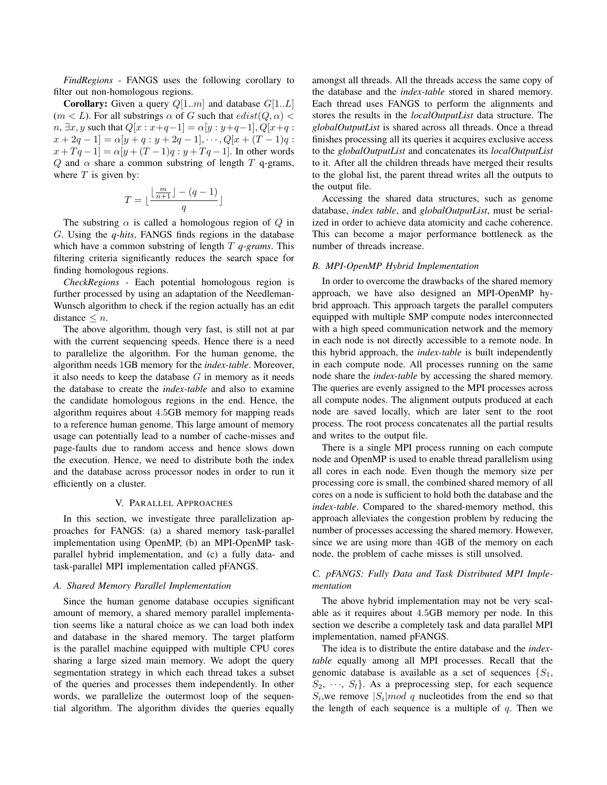*FindRegions -* FANGS uses the following corollary to filter out non-homologous regions.

**Corollary:** Given a query  $Q[1..m]$  and database  $G[1..L]$  $(m < L)$ . For all substrings  $\alpha$  of G such that  $edist(Q, \alpha)$  $n, \exists x, y$  such that  $Q[x : x + q - 1] = \alpha[y : y + q - 1], Q[x + q :$  $x + 2q - 1 = \alpha[y + q : y + 2q - 1], \cdots, Q[x + (T - 1)q :$  $x + Tq - 1$ ] =  $\alpha[y + (T - 1)q : y + Tq - 1]$ . In other words Q and  $\alpha$  share a common substring of length T q-grams, where  $T$  is given by:

$$
T = \lfloor \frac{\lfloor \frac{m}{n+1} \rfloor - (q-1)}{q} \rfloor
$$

The substring  $\alpha$  is called a homologous region of  $Q$  in G. Using the *q-hits*, FANGS finds regions in the database which have a common substring of length T *q-grams*. This filtering criteria significantly reduces the search space for finding homologous regions.

*CheckRegions -* Each potential homologous region is further processed by using an adaptation of the Needleman-Wunsch algorithm to check if the region actually has an edit distance  $\leq n$ .

The above algorithm, though very fast, is still not at par with the current sequencing speeds. Hence there is a need to parallelize the algorithm. For the human genome, the algorithm needs 1GB memory for the *index-table*. Moreover, it also needs to keep the database  $G$  in memory as it needs the database to create the *index-table* and also to examine the candidate homologous regions in the end. Hence, the algorithm requires about 4.5GB memory for mapping reads to a reference human genome. This large amount of memory usage can potentially lead to a number of cache-misses and page-faults due to random access and hence slows down the execution. Hence, we need to distribute both the index and the database across processor nodes in order to run it efficiently on a cluster.

# V. PARALLEL APPROACHES

In this section, we investigate three parallelization approaches for FANGS: (a) a shared memory task-parallel implementation using OpenMP, (b) an MPI-OpenMP taskparallel hybrid implementation, and (c) a fully data- and task-parallel MPI implementation called pFANGS.

# *A. Shared Memory Parallel Implementation*

Since the human genome database occupies significant amount of memory, a shared memory parallel implementation seems like a natural choice as we can load both index and database in the shared memory. The target platform is the parallel machine equipped with multiple CPU cores sharing a large sized main memory. We adopt the query segmentation strategy in which each thread takes a subset of the queries and processes them independently. In other words, we parallelize the outermost loop of the sequential algorithm. The algorithm divides the queries equally amongst all threads. All the threads access the same copy of the database and the *index-table* stored in shared memory. Each thread uses FANGS to perform the alignments and stores the results in the *localOutputList* data structure. The *globalOutputList* is shared across all threads. Once a thread finishes processing all its queries it acquires exclusive access to the *globalOutputList* and concatenates its *localOutputList* to it. After all the children threads have merged their results to the global list, the parent thread writes all the outputs to the output file.

Accessing the shared data structures, such as genome database, *index table*, and *globalOutputList*, must be serialized in order to achieve data atomicity and cache coherence. This can become a major performance bottleneck as the number of threads increase.

# *B. MPI-OpenMP Hybrid Implementation*

In order to overcome the drawbacks of the shared memory approach, we have also designed an MPI-OpenMP hybrid approach. This approach targets the parallel computers equipped with multiple SMP compute nodes interconnected with a high speed communication network and the memory in each node is not directly accessible to a remote node. In this hybrid approach, the *index-table* is built independently in each compute node. All processes running on the same node share the *index-table* by accessing the shared memory. The queries are evenly assigned to the MPI processes across all compute nodes. The alignment outputs produced at each node are saved locally, which are later sent to the root process. The root process concatenates all the partial results and writes to the output file.

There is a single MPI process running on each compute node and OpenMP is used to enable thread parallelism using all cores in each node. Even though the memory size per processing core is small, the combined shared memory of all cores on a node is sufficient to hold both the database and the *index-table*. Compared to the shared-memory method, this approach alleviates the congestion problem by reducing the number of processes accessing the shared memory. However, since we are using more than 4GB of the memory on each node, the problem of cache misses is still unsolved.

# *C. pFANGS: Fully Data and Task Distributed MPI Implementation*

The above hybrid implementation may not be very scalable as it requires about 4.5GB memory per node. In this section we describe a completely task and data parallel MPI implementation, named pFANGS.

The idea is to distribute the entire database and the *indextable* equally among all MPI processes. Recall that the genomic database is available as a set of sequences  $\{S_1,$  $S_2, \dots, S_l$ . As a preprocessing step, for each sequence  $S_i$ , we remove  $|S_i|$  *mod q* nucleotides from the end so that the length of each sequence is a multiple of  $q$ . Then we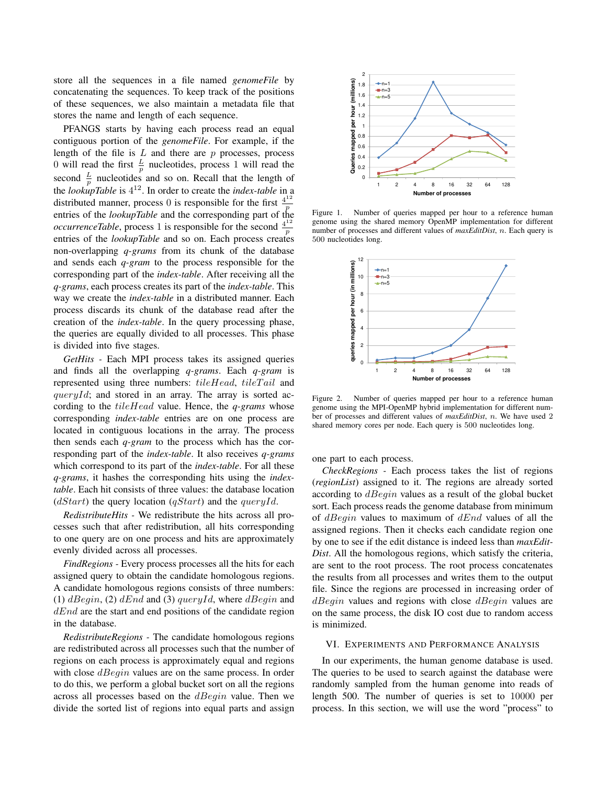store all the sequences in a file named *genomeFile* by concatenating the sequences. To keep track of the positions of these sequences, we also maintain a metadata file that stores the name and length of each sequence.

PFANGS starts by having each process read an equal contiguous portion of the *genomeFile*. For example, if the length of the file is  $L$  and there are  $p$  processes, process 0 will read the first  $\frac{L}{p}$  nucleotides, process 1 will read the second  $\frac{L}{p}$  nucleotides and so on. Recall that the length of the *lookupTable* is 4 <sup>12</sup>. In order to create the *index-table* in a distributed manner, process 0 is responsible for the first  $\frac{4^{12}}{n}$ p entries of the *lookupTable* and the corresponding part of the *occurrenceTable*, process 1 is responsible for the second  $\frac{4^{12}}{n}$ p entries of the *lookupTable* and so on. Each process creates non-overlapping *q-grams* from its chunk of the database and sends each *q-gram* to the process responsible for the corresponding part of the *index-table*. After receiving all the *q-grams*, each process creates its part of the *index-table*. This way we create the *index-table* in a distributed manner. Each process discards its chunk of the database read after the creation of the *index-table*. In the query processing phase, the queries are equally divided to all processes. This phase is divided into five stages.

*GetHits -* Each MPI process takes its assigned queries and finds all the overlapping *q-grams*. Each *q-gram* is represented using three numbers:  $tileHead$ ,  $tileTail$  and  $queryId$ ; and stored in an array. The array is sorted according to the tileHead value. Hence, the *q-grams* whose corresponding *index-table* entries are on one process are located in contiguous locations in the array. The process then sends each *q-gram* to the process which has the corresponding part of the *index-table*. It also receives *q-grams* which correspond to its part of the *index-table*. For all these *q-grams*, it hashes the corresponding hits using the *indextable*. Each hit consists of three values: the database location  $(dStart)$  the query location  $(qStart)$  and the  $queryId$ .

*RedistributeHits -* We redistribute the hits across all processes such that after redistribution, all hits corresponding to one query are on one process and hits are approximately evenly divided across all processes.

*FindRegions* - Every process processes all the hits for each assigned query to obtain the candidate homologous regions. A candidate homologous regions consists of three numbers: (1)  $dBegin$ , (2)  $dEnd$  and (3)  $queryId$ , where  $dBegin$  and  $dEnd$  are the start and end positions of the candidate region in the database.

*RedistributeRegions -* The candidate homologous regions are redistributed across all processes such that the number of regions on each process is approximately equal and regions with close  $dBegin$  values are on the same process. In order to do this, we perform a global bucket sort on all the regions across all processes based on the  $dBegin$  value. Then we divide the sorted list of regions into equal parts and assign



Figure 1. Number of queries mapped per hour to a reference human genome using the shared memory OpenMP implementation for different number of processes and different values of *maxEditDist*, n. Each query is 500 nucleotides long.



Figure 2. Number of queries mapped per hour to a reference human genome using the MPI-OpenMP hybrid implementation for different number of processes and different values of *maxEditDist*, n. We have used 2 shared memory cores per node. Each query is 500 nucleotides long.

one part to each process.

*CheckRegions -* Each process takes the list of regions (*regionList*) assigned to it. The regions are already sorted according to *dBegin* values as a result of the global bucket sort. Each process reads the genome database from minimum of  $dBegin$  values to maximum of  $dEnd$  values of all the assigned regions. Then it checks each candidate region one by one to see if the edit distance is indeed less than *maxEdit-Dist*. All the homologous regions, which satisfy the criteria, are sent to the root process. The root process concatenates the results from all processes and writes them to the output file. Since the regions are processed in increasing order of  $dBegin$  values and regions with close  $dBegin$  values are on the same process, the disk IO cost due to random access is minimized.

# VI. EXPERIMENTS AND PERFORMANCE ANALYSIS

In our experiments, the human genome database is used. The queries to be used to search against the database were randomly sampled from the human genome into reads of length 500. The number of queries is set to 10000 per process. In this section, we will use the word "process" to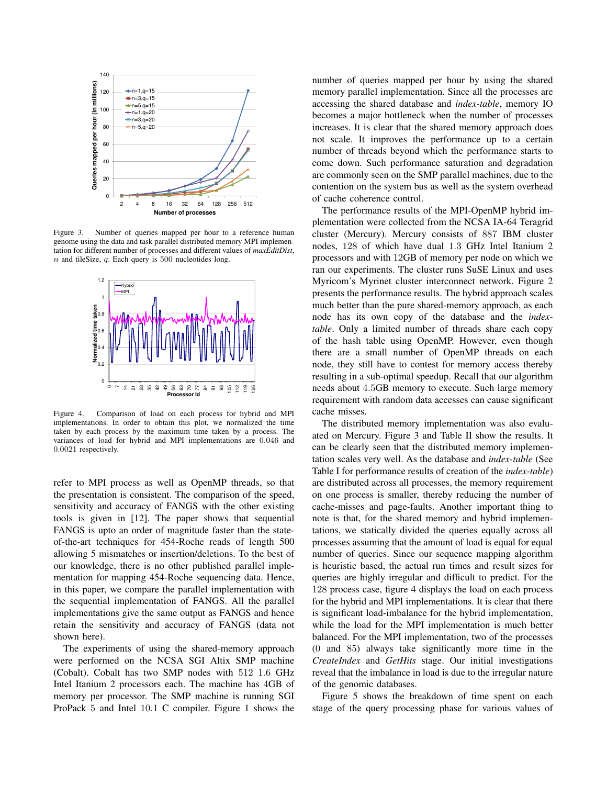

Figure 3. Number of queries mapped per hour to a reference human genome using the data and task parallel distributed memory MPI implementation for different number of processes and different values of *maxEditDist*,  $n$  and tileSize,  $q$ . Each query is 500 nucleotides long.



Figure 4. Comparison of load on each process for hybrid and MPI implementations. In order to obtain this plot, we normalized the time taken by each process by the maximum time taken by a process. The variances of load for hybrid and MPI implementations are 0.046 and 0.0021 respectively.

refer to MPI process as well as OpenMP threads, so that the presentation is consistent. The comparison of the speed, sensitivity and accuracy of FANGS with the other existing tools is given in [12]. The paper shows that sequential FANGS is upto an order of magnitude faster than the stateof-the-art techniques for 454-Roche reads of length 500 allowing 5 mismatches or insertion/deletions. To the best of our knowledge, there is no other published parallel implementation for mapping 454-Roche sequencing data. Hence, in this paper, we compare the parallel implementation with the sequential implementation of FANGS. All the parallel implementations give the same output as FANGS and hence retain the sensitivity and accuracy of FANGS (data not shown here).

The experiments of using the shared-memory approach were performed on the NCSA SGI Altix SMP machine (Cobalt). Cobalt has two SMP nodes with 512 1.6 GHz Intel Itanium 2 processors each. The machine has 4GB of memory per processor. The SMP machine is running SGI ProPack 5 and Intel 10.1 C compiler. Figure 1 shows the number of queries mapped per hour by using the shared memory parallel implementation. Since all the processes are accessing the shared database and *index-table*, memory IO becomes a major bottleneck when the number of processes increases. It is clear that the shared memory approach does not scale. It improves the performance up to a certain number of threads beyond which the performance starts to come down. Such performance saturation and degradation are commonly seen on the SMP parallel machines, due to the contention on the system bus as well as the system overhead of cache coherence control.

The performance results of the MPI-OpenMP hybrid implementation were collected from the NCSA IA-64 Teragrid cluster (Mercury). Mercury consists of 887 IBM cluster nodes, 128 of which have dual 1.3 GHz Intel Itanium 2 processors and with 12GB of memory per node on which we ran our experiments. The cluster runs SuSE Linux and uses Myricom's Myrinet cluster interconnect network. Figure 2 presents the performance results. The hybrid approach scales much better than the pure shared-memory approach, as each node has its own copy of the database and the *indextable*. Only a limited number of threads share each copy of the hash table using OpenMP. However, even though there are a small number of OpenMP threads on each node, they still have to contest for memory access thereby resulting in a sub-optimal speedup. Recall that our algorithm needs about 4.5GB memory to execute. Such large memory requirement with random data accesses can cause significant cache misses.

The distributed memory implementation was also evaluated on Mercury. Figure 3 and Table II show the results. It can be clearly seen that the distributed memory implementation scales very well. As the database and *index-table* (See Table I for performance results of creation of the *index-table*) are distributed across all processes, the memory requirement on one process is smaller, thereby reducing the number of cache-misses and page-faults. Another important thing to note is that, for the shared memory and hybrid implementations, we statically divided the queries equally across all processes assuming that the amount of load is equal for equal number of queries. Since our sequence mapping algorithm is heuristic based, the actual run times and result sizes for queries are highly irregular and difficult to predict. For the 128 process case, figure 4 displays the load on each process for the hybrid and MPI implementations. It is clear that there is significant load-imbalance for the hybrid implementation, while the load for the MPI implementation is much better balanced. For the MPI implementation, two of the processes (0 and 85) always take significantly more time in the *CreateIndex* and *GetHits* stage. Our initial investigations reveal that the imbalance in load is due to the irregular nature of the genomic databases.

Figure 5 shows the breakdown of time spent on each stage of the query processing phase for various values of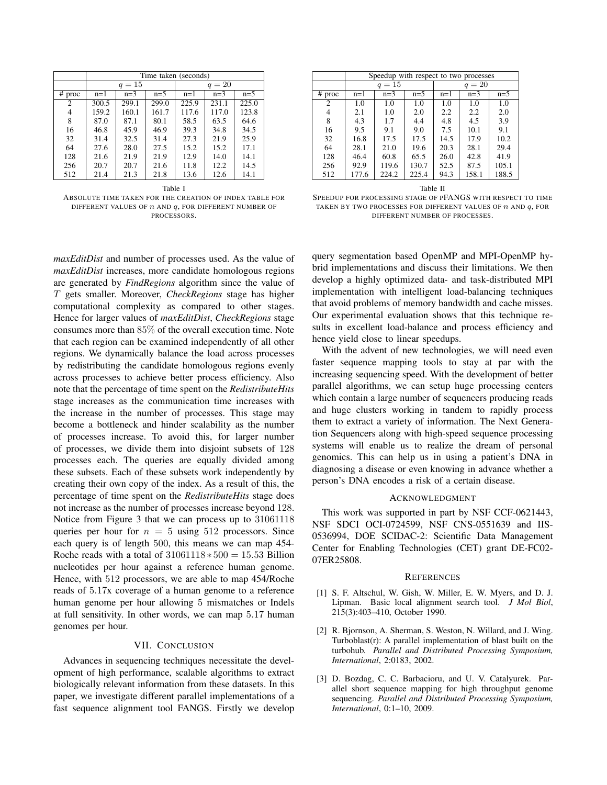|        | Time taken (seconds) |       |       |          |       |       |  |  |  |
|--------|----------------------|-------|-------|----------|-------|-------|--|--|--|
|        | $q = 15$             |       |       | $q = 20$ |       |       |  |  |  |
| # proc | $n=1$                | $n=3$ | $n=5$ | $n=1$    | $n=3$ | $n=5$ |  |  |  |
| 2      | 300.5                | 299.1 | 299.0 | 225.9    | 231.1 | 225.0 |  |  |  |
| 4      | 159.2                | 160.1 | 161.7 | 117.6    | 117.0 | 123.8 |  |  |  |
| 8      | 87.0                 | 87.1  | 80.1  | 58.5     | 63.5  | 64.6  |  |  |  |
| 16     | 46.8                 | 45.9  | 46.9  | 39.3     | 34.8  | 34.5  |  |  |  |
| 32     | 31.4                 | 32.5  | 31.4  | 27.3     | 21.9  | 25.9  |  |  |  |
| 64     | 27.6                 | 28.0  | 27.5  | 15.2     | 15.2  | 17.1  |  |  |  |
| 128    | 21.6                 | 21.9  | 21.9  | 12.9     | 14.0  | 14.1  |  |  |  |
| 256    | 20.7                 | 20.7  | 21.6  | 11.8     | 12.2  | 14.5  |  |  |  |
| 512    | 21.4                 | 21.3  | 21.8  | 13.6     | 12.6  | 14.1  |  |  |  |

Table I ABSOLUTE TIME TAKEN FOR THE CREATION OF INDEX TABLE FOR DIFFERENT VALUES OF  $n$  and  $q$ , for different number of PROCESSORS.

*maxEditDist* and number of processes used. As the value of *maxEditDist* increases, more candidate homologous regions are generated by *FindRegions* algorithm since the value of T gets smaller. Moreover, *CheckRegions* stage has higher computational complexity as compared to other stages. Hence for larger values of *maxEditDist*, *CheckRegions* stage consumes more than 85% of the overall execution time. Note that each region can be examined independently of all other regions. We dynamically balance the load across processes by redistributing the candidate homologous regions evenly across processes to achieve better process efficiency. Also note that the percentage of time spent on the *RedistributeHits* stage increases as the communication time increases with the increase in the number of processes. This stage may become a bottleneck and hinder scalability as the number of processes increase. To avoid this, for larger number of processes, we divide them into disjoint subsets of 128 processes each. The queries are equally divided among these subsets. Each of these subsets work independently by creating their own copy of the index. As a result of this, the percentage of time spent on the *RedistributeHits* stage does not increase as the number of processes increase beyond 128. Notice from Figure 3 that we can process up to 31061118 queries per hour for  $n = 5$  using 512 processors. Since each query is of length 500, this means we can map 454- Roche reads with a total of  $31061118 * 500 = 15.53$  Billion nucleotides per hour against a reference human genome. Hence, with 512 processors, we are able to map 454/Roche reads of 5.17x coverage of a human genome to a reference human genome per hour allowing 5 mismatches or Indels at full sensitivity. In other words, we can map 5.17 human genomes per hour.

# VII. CONCLUSION

Advances in sequencing techniques necessitate the development of high performance, scalable algorithms to extract biologically relevant information from these datasets. In this paper, we investigate different parallel implementations of a fast sequence alignment tool FANGS. Firstly we develop

|           | Speedup with respect to two processes |       |       |        |       |       |  |  |  |
|-----------|---------------------------------------|-------|-------|--------|-------|-------|--|--|--|
|           | $q=15$                                |       |       | $q=20$ |       |       |  |  |  |
| #<br>proc | $n=1$                                 | $n=3$ | $n=5$ | $n=1$  | $n=3$ | $n=5$ |  |  |  |
| 2         | 1.0                                   | 1.0   | 1.0   | 1.0    | 1.0   | 1.0   |  |  |  |
| 4         | 2.1                                   | 1.0   | 2.0   | 2.2    | 2.2   | 2.0   |  |  |  |
| 8         | 4.3                                   | 1.7   | 4.4   | 4.8    | 4.5   | 3.9   |  |  |  |
| 16        | 9.5                                   | 9.1   | 9.0   | 7.5    | 10.1  | 9.1   |  |  |  |
| 32        | 16.8                                  | 17.5  | 17.5  | 14.5   | 17.9  | 10.2  |  |  |  |
| 64        | 28.1                                  | 21.0  | 19.6  | 20.3   | 28.1  | 29.4  |  |  |  |
| 128       | 46.4                                  | 60.8  | 65.5  | 26.0   | 42.8  | 41.9  |  |  |  |
| 256       | 92.9                                  | 119.6 | 130.7 | 52.5   | 87.5  | 105.1 |  |  |  |
| 512       | 177.6                                 | 224.2 | 225.4 | 94.3   | 158.1 | 188.5 |  |  |  |
|           |                                       |       |       |        |       |       |  |  |  |

Table II

SPEEDUP FOR PROCESSING STAGE OF PFANGS WITH RESPECT TO TIME TAKEN BY TWO PROCESSES FOR DIFFERENT VALUES OF  $n$  and  $q$ , for DIFFERENT NUMBER OF PROCESSES.

query segmentation based OpenMP and MPI-OpenMP hybrid implementations and discuss their limitations. We then develop a highly optimized data- and task-distributed MPI implementation with intelligent load-balancing techniques that avoid problems of memory bandwidth and cache misses. Our experimental evaluation shows that this technique results in excellent load-balance and process efficiency and hence yield close to linear speedups.

With the advent of new technologies, we will need even faster sequence mapping tools to stay at par with the increasing sequencing speed. With the development of better parallel algorithms, we can setup huge processing centers which contain a large number of sequencers producing reads and huge clusters working in tandem to rapidly process them to extract a variety of information. The Next Generation Sequencers along with high-speed sequence processing systems will enable us to realize the dream of personal genomics. This can help us in using a patient's DNA in diagnosing a disease or even knowing in advance whether a person's DNA encodes a risk of a certain disease.

#### ACKNOWLEDGMENT

This work was supported in part by NSF CCF-0621443, NSF SDCI OCI-0724599, NSF CNS-0551639 and IIS-0536994, DOE SCIDAC-2: Scientific Data Management Center for Enabling Technologies (CET) grant DE-FC02- 07ER25808.

#### **REFERENCES**

- [1] S. F. Altschul, W. Gish, W. Miller, E. W. Myers, and D. J. Lipman. Basic local alignment search tool. *J Mol Biol*, 215(3):403–410, October 1990.
- [2] R. Bjornson, A. Sherman, S. Weston, N. Willard, and J. Wing. Turboblast(r): A parallel implementation of blast built on the turbohub. *Parallel and Distributed Processing Symposium, International*, 2:0183, 2002.
- [3] D. Bozdag, C. C. Barbacioru, and U. V. Catalyurek. Parallel short sequence mapping for high throughput genome sequencing. *Parallel and Distributed Processing Symposium, International*, 0:1–10, 2009.